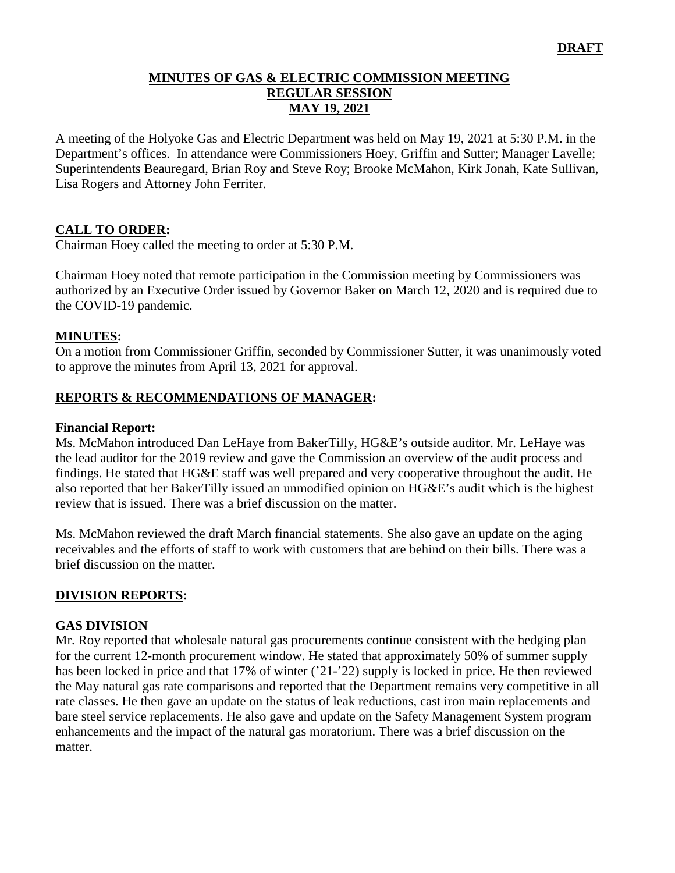### **MINUTES OF GAS & ELECTRIC COMMISSION MEETING REGULAR SESSION MAY 19, 2021**

A meeting of the Holyoke Gas and Electric Department was held on May 19, 2021 at 5:30 P.M. in the Department's offices. In attendance were Commissioners Hoey, Griffin and Sutter; Manager Lavelle; Superintendents Beauregard, Brian Roy and Steve Roy; Brooke McMahon, Kirk Jonah, Kate Sullivan, Lisa Rogers and Attorney John Ferriter.

### **CALL TO ORDER:**

Chairman Hoey called the meeting to order at 5:30 P.M.

Chairman Hoey noted that remote participation in the Commission meeting by Commissioners was authorized by an Executive Order issued by Governor Baker on March 12, 2020 and is required due to the COVID-19 pandemic.

#### **MINUTES:**

On a motion from Commissioner Griffin, seconded by Commissioner Sutter, it was unanimously voted to approve the minutes from April 13, 2021 for approval.

#### **REPORTS & RECOMMENDATIONS OF MANAGER:**

#### **Financial Report:**

Ms. McMahon introduced Dan LeHaye from BakerTilly, HG&E's outside auditor. Mr. LeHaye was the lead auditor for the 2019 review and gave the Commission an overview of the audit process and findings. He stated that HG&E staff was well prepared and very cooperative throughout the audit. He also reported that her BakerTilly issued an unmodified opinion on HG&E's audit which is the highest review that is issued. There was a brief discussion on the matter.

Ms. McMahon reviewed the draft March financial statements. She also gave an update on the aging receivables and the efforts of staff to work with customers that are behind on their bills. There was a brief discussion on the matter.

#### **DIVISION REPORTS:**

#### **GAS DIVISION**

Mr. Roy reported that wholesale natural gas procurements continue consistent with the hedging plan for the current 12-month procurement window. He stated that approximately 50% of summer supply has been locked in price and that 17% of winter ('21-'22) supply is locked in price. He then reviewed the May natural gas rate comparisons and reported that the Department remains very competitive in all rate classes. He then gave an update on the status of leak reductions, cast iron main replacements and bare steel service replacements. He also gave and update on the Safety Management System program enhancements and the impact of the natural gas moratorium. There was a brief discussion on the matter.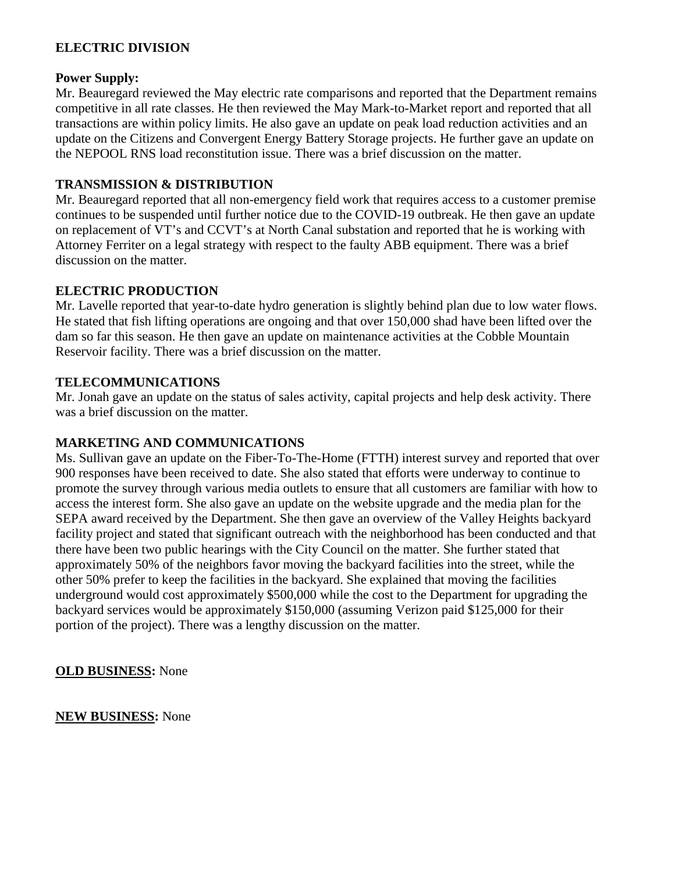### **ELECTRIC DIVISION**

#### **Power Supply:**

Mr. Beauregard reviewed the May electric rate comparisons and reported that the Department remains competitive in all rate classes. He then reviewed the May Mark-to-Market report and reported that all transactions are within policy limits. He also gave an update on peak load reduction activities and an update on the Citizens and Convergent Energy Battery Storage projects. He further gave an update on the NEPOOL RNS load reconstitution issue. There was a brief discussion on the matter.

#### **TRANSMISSION & DISTRIBUTION**

Mr. Beauregard reported that all non-emergency field work that requires access to a customer premise continues to be suspended until further notice due to the COVID-19 outbreak. He then gave an update on replacement of VT's and CCVT's at North Canal substation and reported that he is working with Attorney Ferriter on a legal strategy with respect to the faulty ABB equipment. There was a brief discussion on the matter.

#### **ELECTRIC PRODUCTION**

Mr. Lavelle reported that year-to-date hydro generation is slightly behind plan due to low water flows. He stated that fish lifting operations are ongoing and that over 150,000 shad have been lifted over the dam so far this season. He then gave an update on maintenance activities at the Cobble Mountain Reservoir facility. There was a brief discussion on the matter.

#### **TELECOMMUNICATIONS**

Mr. Jonah gave an update on the status of sales activity, capital projects and help desk activity. There was a brief discussion on the matter.

#### **MARKETING AND COMMUNICATIONS**

Ms. Sullivan gave an update on the Fiber-To-The-Home (FTTH) interest survey and reported that over 900 responses have been received to date. She also stated that efforts were underway to continue to promote the survey through various media outlets to ensure that all customers are familiar with how to access the interest form. She also gave an update on the website upgrade and the media plan for the SEPA award received by the Department. She then gave an overview of the Valley Heights backyard facility project and stated that significant outreach with the neighborhood has been conducted and that there have been two public hearings with the City Council on the matter. She further stated that approximately 50% of the neighbors favor moving the backyard facilities into the street, while the other 50% prefer to keep the facilities in the backyard. She explained that moving the facilities underground would cost approximately \$500,000 while the cost to the Department for upgrading the backyard services would be approximately \$150,000 (assuming Verizon paid \$125,000 for their portion of the project). There was a lengthy discussion on the matter.

**OLD BUSINESS:** None

**NEW BUSINESS:** None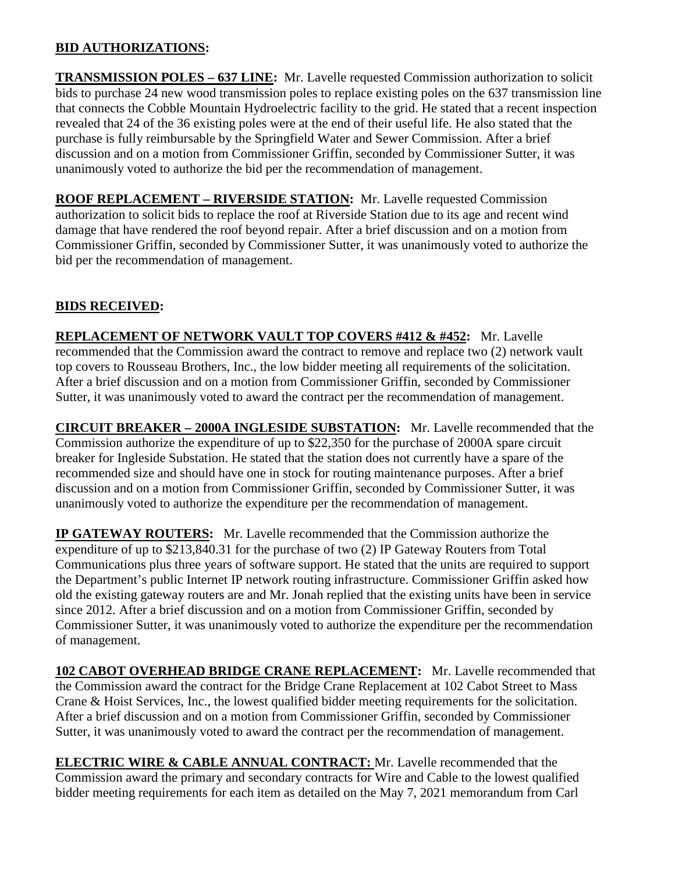## **BID AUTHORIZATIONS:**

**TRANSMISSION POLES – 637 LINE:** Mr. Lavelle requested Commission authorization to solicit bids to purchase 24 new wood transmission poles to replace existing poles on the 637 transmission line that connects the Cobble Mountain Hydroelectric facility to the grid. He stated that a recent inspection revealed that 24 of the 36 existing poles were at the end of their useful life. He also stated that the purchase is fully reimbursable by the Springfield Water and Sewer Commission. After a brief discussion and on a motion from Commissioner Griffin, seconded by Commissioner Sutter, it was unanimously voted to authorize the bid per the recommendation of management.

**ROOF REPLACEMENT – RIVERSIDE STATION:** Mr. Lavelle requested Commission authorization to solicit bids to replace the roof at Riverside Station due to its age and recent wind damage that have rendered the roof beyond repair. After a brief discussion and on a motion from Commissioner Griffin, seconded by Commissioner Sutter, it was unanimously voted to authorize the bid per the recommendation of management.

## **BIDS RECEIVED:**

**REPLACEMENT OF NETWORK VAULT TOP COVERS #412 & #452:** Mr. Lavelle recommended that the Commission award the contract to remove and replace two (2) network vault top covers to Rousseau Brothers, Inc., the low bidder meeting all requirements of the solicitation. After a brief discussion and on a motion from Commissioner Griffin, seconded by Commissioner Sutter, it was unanimously voted to award the contract per the recommendation of management.

**CIRCUIT BREAKER – 2000A INGLESIDE SUBSTATION:** Mr. Lavelle recommended that the Commission authorize the expenditure of up to \$22,350 for the purchase of 2000A spare circuit breaker for Ingleside Substation. He stated that the station does not currently have a spare of the recommended size and should have one in stock for routing maintenance purposes. After a brief discussion and on a motion from Commissioner Griffin, seconded by Commissioner Sutter, it was unanimously voted to authorize the expenditure per the recommendation of management.

**IP GATEWAY ROUTERS:** Mr. Lavelle recommended that the Commission authorize the expenditure of up to \$213,840.31 for the purchase of two (2) IP Gateway Routers from Total Communications plus three years of software support. He stated that the units are required to support the Department's public Internet IP network routing infrastructure. Commissioner Griffin asked how old the existing gateway routers are and Mr. Jonah replied that the existing units have been in service since 2012. After a brief discussion and on a motion from Commissioner Griffin, seconded by Commissioner Sutter, it was unanimously voted to authorize the expenditure per the recommendation of management.

**102 CABOT OVERHEAD BRIDGE CRANE REPLACEMENT:** Mr. Lavelle recommended that the Commission award the contract for the Bridge Crane Replacement at 102 Cabot Street to Mass Crane & Hoist Services, Inc., the lowest qualified bidder meeting requirements for the solicitation. After a brief discussion and on a motion from Commissioner Griffin, seconded by Commissioner Sutter, it was unanimously voted to award the contract per the recommendation of management.

**ELECTRIC WIRE & CABLE ANNUAL CONTRACT:** Mr. Lavelle recommended that the Commission award the primary and secondary contracts for Wire and Cable to the lowest qualified bidder meeting requirements for each item as detailed on the May 7, 2021 memorandum from Carl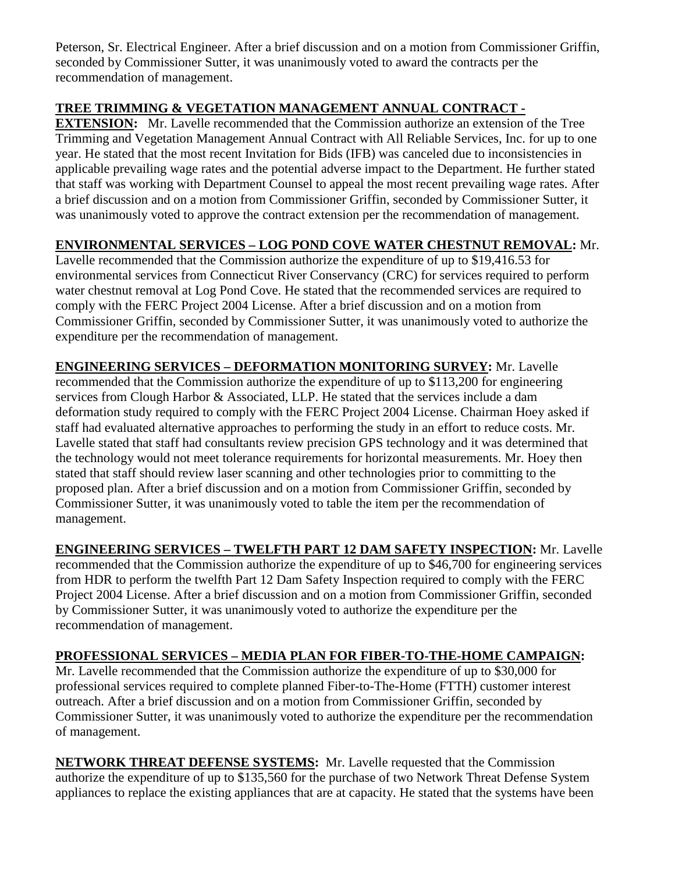Peterson, Sr. Electrical Engineer. After a brief discussion and on a motion from Commissioner Griffin, seconded by Commissioner Sutter, it was unanimously voted to award the contracts per the recommendation of management.

# **TREE TRIMMING & VEGETATION MANAGEMENT ANNUAL CONTRACT -**

**EXTENSION:** Mr. Lavelle recommended that the Commission authorize an extension of the Tree Trimming and Vegetation Management Annual Contract with All Reliable Services, Inc. for up to one year. He stated that the most recent Invitation for Bids (IFB) was canceled due to inconsistencies in applicable prevailing wage rates and the potential adverse impact to the Department. He further stated that staff was working with Department Counsel to appeal the most recent prevailing wage rates. After a brief discussion and on a motion from Commissioner Griffin, seconded by Commissioner Sutter, it was unanimously voted to approve the contract extension per the recommendation of management.

## **ENVIRONMENTAL SERVICES – LOG POND COVE WATER CHESTNUT REMOVAL:** Mr.

Lavelle recommended that the Commission authorize the expenditure of up to \$19,416.53 for environmental services from Connecticut River Conservancy (CRC) for services required to perform water chestnut removal at Log Pond Cove. He stated that the recommended services are required to comply with the FERC Project 2004 License. After a brief discussion and on a motion from Commissioner Griffin, seconded by Commissioner Sutter, it was unanimously voted to authorize the expenditure per the recommendation of management.

**ENGINEERING SERVICES – DEFORMATION MONITORING SURVEY:** Mr. Lavelle recommended that the Commission authorize the expenditure of up to \$113,200 for engineering services from Clough Harbor & Associated, LLP. He stated that the services include a dam deformation study required to comply with the FERC Project 2004 License. Chairman Hoey asked if staff had evaluated alternative approaches to performing the study in an effort to reduce costs. Mr. Lavelle stated that staff had consultants review precision GPS technology and it was determined that the technology would not meet tolerance requirements for horizontal measurements. Mr. Hoey then stated that staff should review laser scanning and other technologies prior to committing to the proposed plan. After a brief discussion and on a motion from Commissioner Griffin, seconded by Commissioner Sutter, it was unanimously voted to table the item per the recommendation of management.

**ENGINEERING SERVICES – TWELFTH PART 12 DAM SAFETY INSPECTION:** Mr. Lavelle recommended that the Commission authorize the expenditure of up to \$46,700 for engineering services from HDR to perform the twelfth Part 12 Dam Safety Inspection required to comply with the FERC Project 2004 License. After a brief discussion and on a motion from Commissioner Griffin, seconded by Commissioner Sutter, it was unanimously voted to authorize the expenditure per the recommendation of management.

# **PROFESSIONAL SERVICES – MEDIA PLAN FOR FIBER-TO-THE-HOME CAMPAIGN:**

Mr. Lavelle recommended that the Commission authorize the expenditure of up to \$30,000 for professional services required to complete planned Fiber-to-The-Home (FTTH) customer interest outreach. After a brief discussion and on a motion from Commissioner Griffin, seconded by Commissioner Sutter, it was unanimously voted to authorize the expenditure per the recommendation of management.

**NETWORK THREAT DEFENSE SYSTEMS:** Mr. Lavelle requested that the Commission authorize the expenditure of up to \$135,560 for the purchase of two Network Threat Defense System appliances to replace the existing appliances that are at capacity. He stated that the systems have been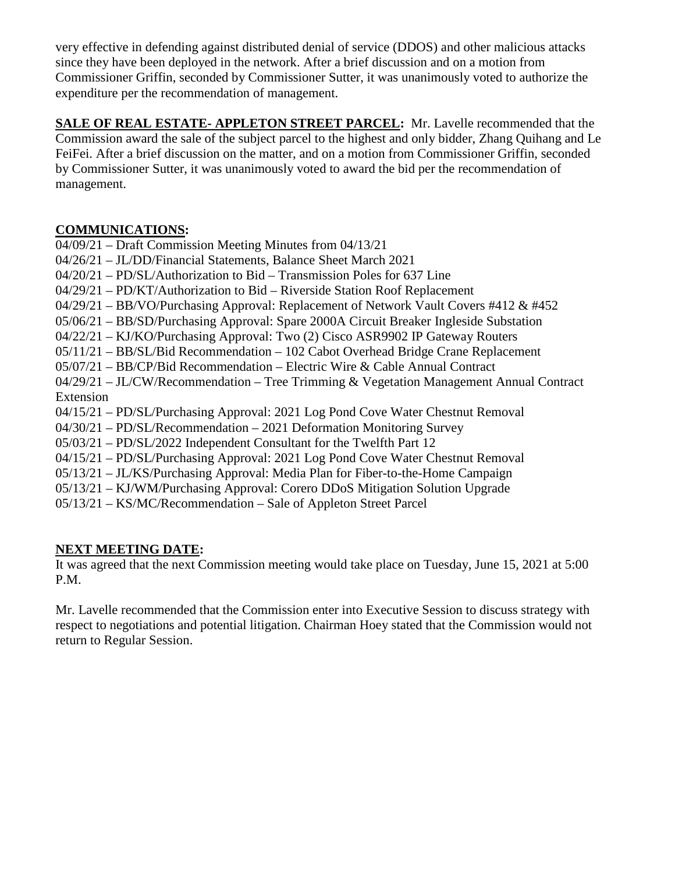very effective in defending against distributed denial of service (DDOS) and other malicious attacks since they have been deployed in the network. After a brief discussion and on a motion from Commissioner Griffin, seconded by Commissioner Sutter, it was unanimously voted to authorize the expenditure per the recommendation of management.

**SALE OF REAL ESTATE- APPLETON STREET PARCEL:** Mr. Lavelle recommended that the Commission award the sale of the subject parcel to the highest and only bidder, Zhang Quihang and Le FeiFei. After a brief discussion on the matter, and on a motion from Commissioner Griffin, seconded by Commissioner Sutter, it was unanimously voted to award the bid per the recommendation of management.

# **COMMUNICATIONS:**

04/09/21 – Draft Commission Meeting Minutes from 04/13/21 04/26/21 – JL/DD/Financial Statements, Balance Sheet March 2021 04/20/21 – PD/SL/Authorization to Bid – Transmission Poles for 637 Line 04/29/21 – PD/KT/Authorization to Bid – Riverside Station Roof Replacement 04/29/21 – BB/VO/Purchasing Approval: Replacement of Network Vault Covers #412 & #452 05/06/21 – BB/SD/Purchasing Approval: Spare 2000A Circuit Breaker Ingleside Substation 04/22/21 – KJ/KO/Purchasing Approval: Two (2) Cisco ASR9902 IP Gateway Routers 05/11/21 – BB/SL/Bid Recommendation – 102 Cabot Overhead Bridge Crane Replacement 05/07/21 – BB/CP/Bid Recommendation – Electric Wire & Cable Annual Contract 04/29/21 – JL/CW/Recommendation – Tree Trimming & Vegetation Management Annual Contract Extension 04/15/21 – PD/SL/Purchasing Approval: 2021 Log Pond Cove Water Chestnut Removal 04/30/21 – PD/SL/Recommendation – 2021 Deformation Monitoring Survey 05/03/21 – PD/SL/2022 Independent Consultant for the Twelfth Part 12 04/15/21 – PD/SL/Purchasing Approval: 2021 Log Pond Cove Water Chestnut Removal 05/13/21 – JL/KS/Purchasing Approval: Media Plan for Fiber-to-the-Home Campaign 05/13/21 – KJ/WM/Purchasing Approval: Corero DDoS Mitigation Solution Upgrade 05/13/21 – KS/MC/Recommendation – Sale of Appleton Street Parcel

# **NEXT MEETING DATE:**

It was agreed that the next Commission meeting would take place on Tuesday, June 15, 2021 at 5:00 P.M.

Mr. Lavelle recommended that the Commission enter into Executive Session to discuss strategy with respect to negotiations and potential litigation. Chairman Hoey stated that the Commission would not return to Regular Session.